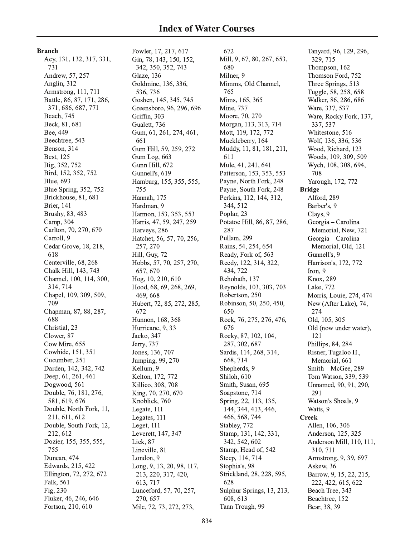**Branch** 

Acy, 131, 132, 317, 331, 731 Andrew, 57, 257 Anglin, 312 Armstrong, 111, 711 Battle, 86, 87, 171, 286, 371, 686, 687, 771 Beach, 745 Beck, 81, 681 Bee, 449 Beechtree, 543 Benson, 314 Best, 125 Big, 352, 752 Bird, 152, 352, 752 **Blue**, 693 Blue Spring, 352, 752 Brickhouse, 81, 681 **Brier**, 141 Brushy, 83, 483 Camp, 304 Carlton, 70, 270, 670 Carroll, 9 Cedar Grove, 18, 218, 618 Centerville, 68, 268 Chalk Hill, 143, 743 Channel, 100, 114, 300, 314, 714 Chapel, 109, 309, 509, 709 Chapman, 87, 88, 287, 688 Christial, 23 Clower, 87 Cow Mire, 655 Cowhide, 151, 351 Cucumber, 251 Darden, 142, 342, 742 Deep, 61, 261, 461 Dogwood, 561 Double, 76, 181, 276, 581, 619, 676 Double, North Fork, 11, 211, 611, 612 Double, South Fork, 12, 212, 612 Dozier, 155, 355, 555, 755 Duncan, 474 Edwards, 215, 422 Ellington, 72, 272, 672 Falk, 561 Fig. 230 Fluker, 46, 246, 646 Fortson, 210, 610

Fowler, 17, 217, 617 Gin, 78, 143, 150, 152, 342, 350, 352, 743 Glaze, 136 Goldmine, 136, 336, 536, 736 Goshen, 145, 345, 745 Greensboro, 96, 296, 696 Griffin, 303 Gualett, 736 Gum, 61, 261, 274, 461, 661 Gum Hill, 59, 259, 272 Gum Log, 663 Gunn Hill, 672 Gunnell's, 619 Hamburg, 155, 355, 555, 755 Hannah, 175 Hardman, 9 Harmon, 153, 353, 553 Harris, 47, 59, 247, 259 Harveys, 286 Hatchet, 56, 57, 70, 256, 257, 270 Hill, Guy, 72 Hobbs, 57, 70, 257, 270, 657, 670 Hog, 10, 210, 610 Hood, 68, 69, 268, 269, 469,668 Hubert, 72, 85, 272, 285, 672 Hunnon, 168, 368 Hurricane, 9, 33 Jacko, 347 Jerry, 737 Jones, 136, 707 Jumping, 99, 270 Kellum, 9 Kelton, 172, 772 Killico, 308, 708 King, 70, 270, 670 Knoblick, 760 Legate, 111 Legates, 111 Leget, 111 Leverett, 147, 347 Lick, 87 Lineville, 81 London, 9 Long, 9, 13, 20, 98, 117, 213, 220, 317, 420, 613, 717 Lunceford, 57, 70, 257, 270, 657 Mile, 72, 73, 272, 273,

672 Mill, 9, 67, 80, 267, 653, 680 Milner, 9 Mimms, Old Channel, 765 Mims, 165, 365 Mine, 737 Moore, 70, 270 Morgan, 113, 313, 714 Mott, 119, 172, 772 Muckleberry, 164 Muddy, 11, 81, 181, 211, 611 Mule, 41, 241, 641 Patterson, 153, 353, 553 Payne, North Fork, 248 Payne, South Fork, 248 Perkins, 112, 144, 312, 344, 512 Poplar, 23 Potatoe Hill, 86, 87, 286, 287 Pullam, 299 Rains, 54, 254, 654 Ready, Fork of, 563 Reedy, 122, 314, 322, 434, 722 Rehobath, 137 Reynolds, 103, 303, 703 Robertson, 250 Robinson, 50, 250, 450, 650 Rock, 76, 275, 276, 476, 676 Rocky, 87, 102, 104, 287, 302, 687 Sardis, 114, 268, 314, 668, 714 Shepherds, 9 Shiloh, 610 Smith, Susan, 695 Soapstone, 714 Spring, 22, 113, 135, 144, 344, 413, 446, 466, 568, 744 Stabley, 772 Stamp, 131, 142, 331, 342, 542, 602 Stamp, Head of, 542 Steep, 114, 714 Stophia's, 98 Strickland, 28, 228, 595, 628 Sulphur Springs, 13, 213, 608, 613 Tann Trough, 99

Tanyard, 96, 129, 296, 329, 715 Thompson, 162 Thomson Ford, 752 Three Springs, 513 Tuggle, 58, 258, 658 Walker, 86, 286, 686 Ware, 337, 537 Ware, Rocky Fork, 137, 337, 537 Whitestone, 516 Wolf, 136, 336, 536 Wood, Richard, 123 Woods, 109, 309, 509 Wych, 108, 308, 694, 708 Yarough, 172, 772 **Bridge** Alford, 289 Barber's, 9 Clays, 9 Georgia - Carolina Memorial, New, 721 Georgia - Carolina Memorial, Old, 121 Gunnell's, 9 Harrison's, 172, 772 Iron, 9 Knox, 289 Lake, 772 Morris, Louie, 274, 474 New (After Lake), 74, 274 Old, 105, 305 Old (now under water), 121 Phillips, 84, 284 Risner, Tugaloo H., Memorial, 661 Smith - McGee, 289 Tom Watson, 339, 539 Unnamed, 90, 91, 290, 291 Watson's Shoals, 9 Watts, 9 **Creek** Allen, 106, 306 Anderson, 125, 325 Anderson Mill, 110, 111, 310, 711 Armstrong, 9, 39, 697 Askew, 36 Barrow, 9, 15, 22, 215, 222, 422, 615, 622 Beach Tree, 343 Beachtree, 152 Bear, 38, 39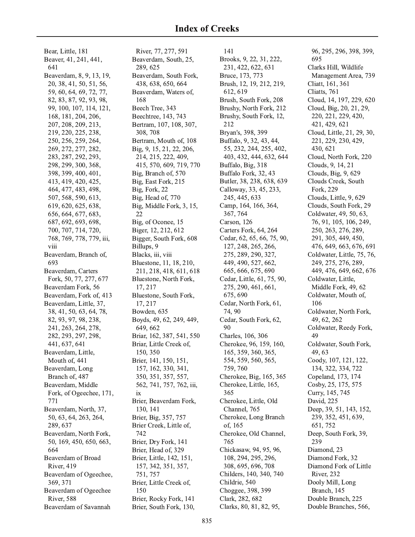Bear, Little, 181 Beaver, 41, 241, 441, 641 Beaverdam, 8, 9, 13, 19, 20, 38, 41, 50, 51, 56, 59, 60, 64, 69, 72, 77, 82, 83, 87, 92, 93, 98, 99, 100, 107, 114, 121, 168, 181, 204, 206, 207, 208, 209, 213, 219, 220, 225, 238, 250, 256, 259, 264, 269, 272, 277, 282, 283, 287, 292, 293, 298, 299, 300, 368, 398, 399, 400, 401, 413, 419, 420, 425, 464, 477, 483, 498, 507, 568, 590, 613, 619, 620, 625, 638, 656, 664, 677, 683, 687, 692, 693, 698, 700, 707, 714, 720, 768, 769, 778, 779, iii, viii Beaverdam, Branch of, 693 Beaverdam, Carters Fork, 50, 77, 277, 677 Beaverdam Fork, 56 Beaverdam, Fork of, 413 Beaverdam, Little, 37, 38, 41, 50, 63, 64, 78, 82, 93, 97, 98, 238, 241, 263, 264, 278, 282, 293, 297, 298, 441, 637, 641 Beaverdam, Little, Mouth of, 441 Beaverdam, Long Branch of, 487 Beaverdam, Middle Fork, of Ogeechee, 171, 771 Beaverdam, North, 37, 50, 63, 64, 263, 264, 289, 637 Beaverdam, North Fork, 50, 169, 450, 650, 663, 664 Beaverdam of Broad **River, 419** Beaverdam of Ogeechee, 369, 371 Beaverdam of Ogeechee **River, 588** Beaverdam of Savannah

River, 77, 277, 591 Beaverdam, South, 25, 289, 625 Beaverdam, South Fork, 438, 638, 650, 664 Beaverdam, Waters of, 168 Beech Tree, 343 Beechtree, 143, 743 Bertram, 107, 108, 307, 308, 708 Bertram, Mouth of, 108 Big, 9, 15, 21, 22, 206, 214, 215, 222, 409, 415, 570, 609, 719, 770 Big, Branch of, 570 Big, East Fork, 215 Big, Fork, 22 Big, Head of, 770 Big, Middle Fork, 3, 15, 22 Big, of Oconee, 15 Biger, 12, 212, 612 Bigger, South Fork, 608 Billups, 9 Blacks, iii, viii Bluestone, 11, 18, 210, 211, 218, 418, 611, 618 Bluestone, North Fork, 17, 217 Bluestone, South Fork, 17, 217 Bowden, 635 Boyds, 49, 62, 249, 449, 649, 662 Briar, 162, 387, 541, 550 Briar, Little Creek of, 150, 350 Brier, 141, 150, 151, 157, 162, 330, 341, 350, 351, 357, 557, 562, 741, 757, 762, iii,  $ix$ Brier, Beaverdam Fork, 130, 141 Brier, Big, 357, 757 Brier Creek, Little of, 742 Brier, Dry Fork, 141 Brier, Head of, 329 Brier, Little, 142, 151, 157, 342, 351, 357, 751, 757 Brier, Little Creek of, 150 Brier, Rocky Fork, 141 Brier, South Fork, 130,

141 Brooks, 9, 22, 31, 222, 231, 422, 622, 631 Bruce, 173, 773 Brush, 12, 19, 212, 219, 612, 619 Brush, South Fork, 208 Brushy, North Fork, 212 Brushy, South Fork, 12, 212 Bryan's, 398, 399 Buffalo, 9, 32, 43, 44, 55, 232, 244, 255, 402, 403, 432, 444, 632, 644 Buffalo, Big, 318 Buffalo Fork, 32, 43 Butler, 38, 238, 638, 639 Calloway, 33, 45, 233, 245, 445, 633 Camp, 164, 166, 364, 367, 764 Carson, 126 Carters Fork, 64, 264 Cedar, 62, 65, 66, 75, 90, 127, 248, 265, 266, 275, 289, 290, 327, 449, 490, 527, 662, 665, 666, 675, 690 Cedar, Little, 61, 75, 90, 275, 290, 461, 661, 675, 690 Cedar, North Fork, 61, 74.90 Cedar, South Fork, 62, 90 Charles, 106, 306 Cherokee, 96, 159, 160, 165, 359, 360, 365, 554, 559, 560, 565, 759, 760 Cherokee, Big, 165, 365 Cherokee, Little, 165, 365 Cherokee, Little, Old Channel, 765 Cherokee, Long Branch of, 165 Cherokee, Old Channel, 765 Chickasaw, 94, 95, 96, 108, 294, 295, 296, 308, 695, 696, 708 Childers, 140, 340, 740 Childrie, 540 Choggee, 398, 399 Clark, 282, 682 Clarks, 80, 81, 82, 95,

96, 295, 296, 398, 399, 695 Clarks Hill, Wildlife Management Area, 739 Cliatt, 161, 361 Cliatts, 761 Cloud, 14, 197, 229, 620 Cloud, Big, 20, 21, 29, 220, 221, 229, 420, 421, 429, 621 Cloud, Little, 21, 29, 30, 221, 229, 230, 429, 430, 621 Cloud, North Fork, 220 Clouds, 9, 14, 21 Clouds, Big, 9, 629 Clouds Creek, South Fork, 229 Clouds, Little, 9, 629 Clouds, South Fork, 29 Coldwater, 49, 50, 63, 76, 91, 105, 106, 249, 250, 263, 276, 289, 291, 305, 449, 450, 476, 649, 663, 676, 691 Coldwater, Little, 75, 76, 249, 275, 276, 289, 449, 476, 649, 662, 676 Coldwater, Little, Middle Fork, 49, 62 Coldwater, Mouth of, 106 Coldwater, North Fork, 49, 62, 262 Coldwater, Reedy Fork, 49 Coldwater, South Fork, 49.63 Coody, 107, 121, 122, 134, 322, 334, 722 Copeland, 173, 174 Cosby, 25, 175, 575 Curry, 145, 745 David. 225 Deep, 39, 51, 143, 152, 239, 352, 451, 639, 651,752 Deep, South Fork, 39, 239 Diamond, 23 Diamond Fork, 32 Diamond Fork of Little **River**, 232 Dooly Mill, Long Branch, 145 Double Branch, 225

Double Branches, 566,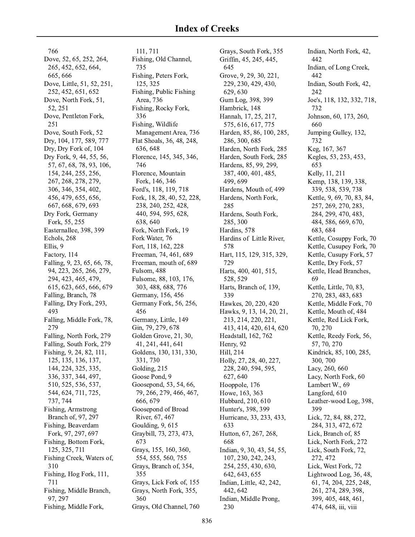766 Dove, 52, 65, 252, 264, 265, 452, 652, 664, 665, 666 Dove, Little, 51, 52, 251, 252, 452, 651, 652 Dove, North Fork, 51, 52, 251 Dove, Pentleton Fork, 251 Dove, South Fork, 52 Dry, 104, 177, 589, 777 Dry, Dry Fork of, 104 Dry Fork, 9, 44, 55, 56, 57, 67, 68, 78, 93, 106, 154, 244, 255, 256, 267, 268, 278, 279, 306, 346, 354, 402, 456, 479, 655, 656, 667, 668, 679, 693 Dry Fork, Germany Fork, 55, 255 Easternallee, 398, 399 Echols, 268 Ellis, 9 Factory, 114 Falling, 9, 23, 65, 66, 78, 94, 223, 265, 266, 279, 294, 423, 465, 479, 615, 623, 665, 666, 679 Falling, Branch, 78 Falling, Dry Fork, 293, 493 Falling, Middle Fork, 78, 279 Falling, North Fork, 279 Falling, South Fork, 279 Fishing, 9, 24, 82, 111, 125, 135, 136, 137, 144, 224, 325, 335, 336, 337, 344, 497, 510, 525, 536, 537, 544, 624, 711, 725, 737, 744 Fishing, Armstrong Branch of, 97, 297 Fishing, Beaverdam Fork, 97, 297, 697 Fishing, Bottom Fork, 125, 325, 711 Fishing Creek, Waters of, 310 Fishing, Hog Fork, 111, 711 Fishing, Middle Branch, 97, 297 Fishing, Middle Fork,

111, 711 Fishing, Old Channel, 735 Fishing, Peters Fork, 125, 325 Fishing, Public Fishing Area, 736 Fishing, Rocky Fork, 336 Fishing, Wildlife Management Area, 736 Flat Shoals, 36, 48, 248, 636, 648 Florence, 145, 345, 346, 746 Florence, Mountain Fork, 146, 346 Ford's, 118, 119, 718 Fork, 18, 28, 40, 52, 228, 238, 240, 252, 428, 440, 594, 595, 628, 638.640 Fork, North Fork, 19 Fork Water, 76 Fort, 118, 162, 228 Freeman, 74, 461, 689 Freeman, mouth of, 689 Fulsom, 488 Fulsome, 88, 103, 176, 303, 488, 688, 776 Germany, 156, 456 Germany Fork, 56, 256, 456 Germany, Little, 149 Gin, 79, 279, 678 Golden Grove, 21, 30, 41, 241, 441, 641 Goldens, 130, 131, 330, 331, 730 Golding, 215 Goose Pond, 9 Goosepond, 53, 54, 66, 79, 266, 279, 466, 467, 666, 679 Goosepond of Broad River, 67, 467 Goulding, 9, 615 Graybill, 73, 273, 473, 673 Grays, 155, 160, 360, 554, 555, 560, 755 Grays, Branch of, 354, 355 Grays, Lick Fork of, 155 Grays, North Fork, 355, 360 Grays, Old Channel, 760

Grays, South Fork, 355 Griffin, 45, 245, 445, 645 Grove, 9, 29, 30, 221, 229, 230, 429, 430, 629, 630 Gum Log, 398, 399 Hambrick, 148 Hannah, 17, 25, 217, 575, 616, 617, 775 Harden, 85, 86, 100, 285, 286, 300, 685 Harden, North Fork, 285 Harden, South Fork, 285 Hardens, 85, 99, 299, 387, 400, 401, 485, 499, 699 Hardens, Mouth of, 499 Hardens, North Fork, 285 Hardens, South Fork, 285, 300 Hardins, 578 Hardins of Little River, 578 Hart, 115, 129, 315, 329, 729 Harts, 400, 401, 515, 528, 529 Harts, Branch of, 139, 339 Hawkes, 20, 220, 420 Hawks, 9, 13, 14, 20, 21, 213, 214, 220, 221, 413, 414, 420, 614, 620 Headstall, 162, 762 Henry, 92 Hill, 214 Holly, 27, 28, 40, 227, 228, 240, 594, 595, 627, 640 Hooppole, 176 Howe, 163, 363 Hubbard, 210, 610 Hunter's, 398, 399 Hurricane, 33, 233, 433, 633 Hutton, 67, 267, 268, 668 Indian, 9, 30, 43, 54, 55, 107, 230, 242, 243, 254, 255, 430, 630, 642, 643, 655 Indian, Little, 42, 242, 442, 642 Indian, Middle Prong, 230

Indian, North Fork, 42, 442 Indian, of Long Creek, 442 Indian, South Fork, 42, 242 Joe's, 118, 132, 332, 718, 732 Johnson, 60, 173, 260, 660 Jumping Gulley, 132, 732 Keg, 167, 367 Kegles, 53, 253, 453, 653 Kelly, 11, 211 Kemp, 138, 139, 338, 339, 538, 539, 738 Kettle, 9, 69, 70, 83, 84, 257, 269, 270, 283, 284, 299, 470, 483, 484, 586, 669, 670, 683, 684 Kettle, Cosuppy Fork, 70 Kettle, Cusupey Fork, 70 Kettle, Cusupy Fork, 57 Kettle, Dry Fork, 57 Kettle, Head Branches, 69 Kettle, Little, 70, 83, 270, 283, 483, 683 Kettle, Middle Fork, 70 Kettle, Mouth of, 484 Kettle, Red Lick Fork, 70, 270 Kettle, Reedy Fork, 56, 57, 70, 270 Kindrick, 85, 100, 285, 300, 700 Lacy, 260, 660 Lacy, North Fork, 60 Lambert W., 69 Langford, 610 Leather-wood Log, 398, 399 Lick, 72, 84, 88, 272, 284, 313, 472, 672 Lick, Branch of, 85 Lick, North Fork, 272 Lick, South Fork, 72, 272, 472 Lick, West Fork, 72 Lightwood Log, 36, 48, 61, 74, 204, 225, 248, 261, 274, 289, 398, 399, 405, 448, 461, 474, 648, iii, viii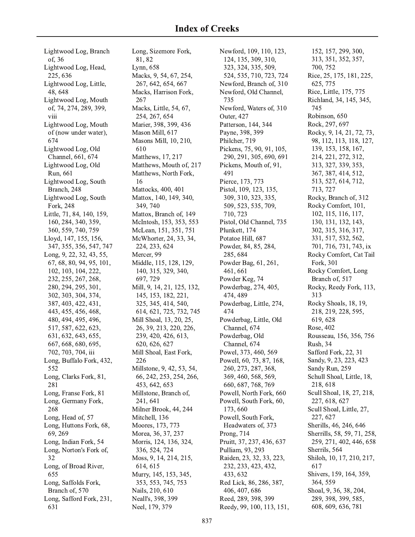Lightwood Log, Branch of, 36 Lightwood Log, Head, 225, 636 Lightwood Log, Little, 48,648 Lightwood Log, Mouth of, 74, 274, 289, 399, viii Lightwood Log, Mouth of (now under water), 674 Lightwood Log, Old Channel, 661, 674 Lightwood Log, Old Run, 661 Lightwood Log, South Branch, 248 Lightwood Log, South Fork, 248 Little, 71, 84, 140, 159, 160, 284, 340, 359, 360, 559, 740, 759 Lloyd, 147, 155, 156, 347, 355, 356, 547, 747 Long, 9, 22, 32, 43, 55, 67, 68, 80, 94, 95, 101, 102, 103, 104, 222, 232, 255, 267, 268, 280, 294, 295, 301, 302, 303, 304, 374, 387, 403, 422, 431, 443, 455, 456, 468, 480, 494, 495, 496, 517, 587, 622, 623, 631, 632, 643, 655, 667, 668, 680, 695, 702, 703, 704, iii Long, Buffalo Fork, 432, 552 Long, Clarks Fork, 81, 281 Long, Franse Fork, 81 Long, Germany Fork, 268 Long, Head of, 57 Long, Huttons Fork, 68, 69, 269 Long, Indian Fork, 54 Long, Norton's Fork of, 32 Long, of Broad River, 655 Long, Saffolds Fork, Branch of, 570 Long, Safford Fork, 231, 631

Long, Sizemore Fork, 81, 82 Lynn, 658 Macks, 9, 54, 67, 254, 267, 642, 654, 667 Macks, Harrison Fork, 267 Macks, Little, 54, 67, 254, 267, 654 Marier, 398, 399, 436 Mason Mill, 617 Masons Mill, 10, 210, 610 Matthews, 17, 217 Matthews, Mouth of, 217 Matthews, North Fork, 16 Mattocks, 400, 401 Mattox, 140, 149, 340, 349, 740 Mattox, Branch of, 149 McIntosh, 153, 353, 553 McLean, 151, 351, 751 McWhorter, 24, 33, 34, 224, 233, 624 Mercer, 99 Middle, 115, 128, 129, 140, 315, 329, 340, 697, 729 Mill, 9, 14, 21, 125, 132, 145, 153, 182, 221, 325, 345, 414, 540, 614, 621, 725, 732, 745 Mill Shoal, 13, 20, 25, 26, 39, 213, 220, 226, 239, 420, 426, 613, 620, 626, 627 Mill Shoal, East Fork, 226 Millstone, 9, 42, 53, 54, 66, 242, 253, 254, 266, 453, 642, 653 Millstone, Branch of, 241, 641 Milner Brook, 44, 244 Mitchell, 136 Moores, 173, 773 Morea, 36, 37, 237 Morris, 124, 136, 324, 336, 524, 724 Moss, 9, 14, 214, 215, 614, 615 Murry, 145, 153, 345, 353, 553, 745, 753 Nails, 210, 610 Neall's, 398, 399 Neel, 179, 379

Newford, 109, 110, 123, 124, 135, 309, 310, 323, 324, 335, 509, 524, 535, 710, 723, 724 Newford, Branch of, 310 Newford, Old Channel, 735 Newford, Waters of, 310 Outer, 427 Patterson, 144, 344 Payne, 398, 399 Philcher, 719 Pickens, 75, 90, 91, 105, 290, 291, 305, 690, 691 Pickens, Mouth of, 91, 491 Pierce, 173, 773 Pistol, 109, 123, 135, 309, 310, 323, 335, 509, 523, 535, 709, 710, 723 Pistol, Old Channel, 735 Plunkett, 174 Potatoe Hill, 687 Powder, 84, 85, 284, 285, 684 Powder Bag, 61, 261, 461, 661 Powder Keg, 74 Powderbag, 274, 405, 474, 489 Powderbag, Little, 274, 474 Powderbag, Little, Old Channel, 674 Powderbag, Old Channel, 674 Powel, 373, 460, 569 Powell, 60, 73, 87, 168, 260, 273, 287, 368, 369, 460, 568, 569, 660, 687, 768, 769 Powell, North Fork, 660 Powell, South Fork, 60, 173,660 Powell, South Fork, Headwaters of, 373 Prong, 714 Pruitt, 37, 237, 436, 637 Pulliam, 93, 293 Raiden, 23, 32, 33, 223, 232, 233, 423, 432, 433, 632 Red Lick, 86, 286, 387, 406, 407, 686 Reed, 289, 398, 399 Reedy, 99, 100, 113, 151,

152, 157, 299, 300, 313, 351, 352, 357, 700, 752 Rice, 25, 175, 181, 225, 625, 775 Rice, Little, 175, 775 Richland, 34, 145, 345, 745 Robinson, 650 Rock, 297, 697 Rocky, 9, 14, 21, 72, 73, 98, 112, 113, 118, 127, 139, 153, 158, 167, 214, 221, 272, 312, 313, 327, 339, 353, 367, 387, 414, 512, 513, 527, 614, 712, 713, 727 Rocky, Branch of, 312 Rocky Comfort, 101, 102, 115, 116, 117, 130, 131, 132, 143. 302, 315, 316, 317, 331, 517, 532, 562, 701, 716, 731, 743, ix Rocky Comfort, Cat Tail Fork, 301 Rocky Comfort, Long Branch of, 517 Rocky, Reedy Fork, 113, 313 Rocky Shoals, 18, 19, 218, 219, 228, 595, 619, 628 Rose, 402 Rousseau, 156, 356, 756 Rush, 34 Safford Fork, 22, 31 Sandy, 9, 23, 223, 423 Sandy Run, 259 Schull Shoal, Little, 18, 218, 618 Scull Shoal, 18, 27, 218, 227, 618, 627 Scull Shoal, Little, 27, 227, 627 Sherills, 46, 246, 646 Sherrills, 58, 59, 71, 258, 259, 271, 402, 446, 658 Sherrils, 564 Shiloh, 10, 17, 210, 217, 617 Shivers, 159, 164, 359, 364, 559 Shoal, 9, 36, 38, 204, 289, 398, 399, 585, 608, 609, 636, 781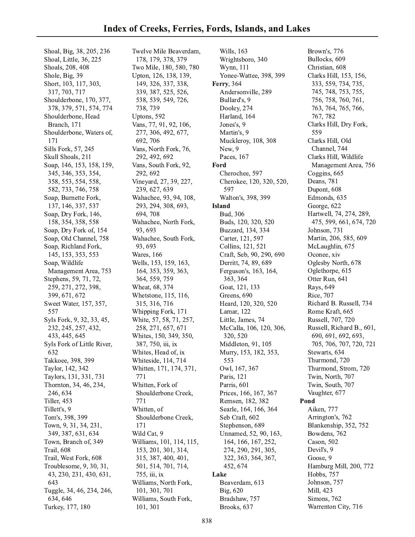Shoal, Big, 38, 205, 236 Shoal, Little, 36, 225 Shoals, 208, 408 Shole, Big, 39 Short, 103, 117, 303, 317, 703, 717 Shoulderbone, 170, 377, 378, 379, 571, 574, 774 Shoulderbone, Head Branch, 171 Shoulderbone, Waters of, 171 Sills Fork, 57, 245 Skull Shoals, 211 Soap, 146, 153, 158, 159, 345, 346, 353, 354, 358, 553, 554, 558, 582, 733, 746, 758 Soap, Burnette Fork, 137, 146, 337, 537 Soap, Dry Fork, 146, 158, 354, 358, 558 Soap, Dry Fork of, 154 Soap, Old Channel, 758 Soap, Richland Fork, 145, 153, 353, 553 Soap, Wildlife Management Area, 753 Stephens, 59, 71, 72, 259, 271, 272, 398, 399, 671, 672 Sweet Water, 157, 357, 557 Syls Fork, 9, 32, 33, 45, 232, 245, 257, 432, 433, 445, 645 Syls Fork of Little River, 632 Takkoee, 398, 399 Taylor, 142, 342 Taylors, 131, 331, 731 Thornton, 34, 46, 234, 246, 634 Tiller, 453 Tillett's, 9 Tom's, 398, 399 Town, 9, 31, 34, 231, 349, 387, 631, 634 Town, Branch of, 349 Trail, 608 Trail, West Fork, 608 Troublesome, 9, 30, 31, 43, 230, 231, 430, 631, 643 Tuggle, 34, 46, 234, 246, 634, 646 Turkey, 177, 180

Twelve Mile Beaverdam, 178, 179, 378, 379 Two Mile, 180, 580, 780 Upton, 126, 138, 139, 149, 326, 337, 338, 339, 387, 525, 526, 538, 539, 549, 726, 738, 739 Uptons, 592 Vans, 77, 91, 92, 106, 277, 306, 492, 677, 692, 706 Vans, North Fork, 76, 292, 492, 692 Vans, South Fork, 92, 292, 692 Vineyard, 27, 39, 227, 239, 627, 639 Wahachee, 93, 94, 108, 293, 294, 308, 693, 694, 708 Wahachee, North Fork, 93, 693 Wahachee, South Fork, 93, 693 Wares, 166 Wells, 153, 159, 163, 164, 353, 359, 363, 364, 559, 759 Wheat, 68, 374 Whetstone, 115, 116, 315, 316, 716 Whipping Fork, 171 White, 57, 58, 71, 257, 258, 271, 657, 671 Whites, 150, 349, 350, 387, 750, iii, ix Whites, Head of, ix Whiteside, 114, 714 Whitten, 171, 174, 371, 771 Whitten, Fork of Shoulderbone Creek, 771 Whitten, of Shoulderbone Creek, 171 Wild Cat, 9 Williams, 101, 114, 115, 153, 201, 301, 314, 315, 387, 400, 401, 501, 514, 701, 714, 755, iii, ix Williams, North Fork, 101, 301, 701 Williams, South Fork, 101, 301

Wills, 163 Wrightsboro, 340 Wynn, 111 Yonee-Wattee, 398, 399 **Ferry**, 364 Andersonville, 289 Bullard's, 9 Dooley, 274 Harland, 164 Jones's, 9 Martin's, 9 Muckleroy, 108, 308 New, 9 Paces, 167 Ford Cherochee, 597 Cherokee, 120, 320, 520, 597 Walton's, 398, 399 **Island** Bud, 306 Buds, 120, 320, 520 Buzzard, 134, 334 Carter, 121, 597 Collins, 121, 521 Craft, Seb, 90, 290, 690 Derritt, 74, 89, 689 Ferguson's, 163, 164, 363, 364 Goat, 121, 133 Greens, 690 Heard, 120, 320, 520 Lamar, 122 Little, James, 74 McCalla, 106, 120, 306, 320, 520 Middleton, 91, 105 Murry, 153, 182, 353, 553 Owl, 167, 367 Paris, 121 Parris, 601 Prices, 166, 167, 367 Remsen, 182, 382 Searle, 164, 166, 364 Seb Craft, 602 Stephenson, 689 Unnamed, 52, 90, 163, 164, 166, 167, 252, 274, 290, 291, 305, 322, 363, 364, 367, 452, 674 Lake Beaverdam, 613 Big, 620 Bradshaw, 757 Brooks, 637

Brown's, 776 Bullocks, 609 Christian, 608 Clarks Hill, 153, 156, 333, 559, 734, 735, 745, 748, 753, 755, 756, 758, 760, 761, 763, 764, 765, 766, 767, 782 Clarks Hill, Dry Fork, 559 Clarks Hill, Old Channel, 744 Clarks Hill, Wildlife Management Area, 756 Coggins, 665 Deans, 781 Dupont, 608 Edmonds, 635 George, 622 Hartwell, 74, 274, 289, 475, 599, 661, 674, 720 Johnson, 731 Martin, 206, 585, 609 McLaughlin, 675 Oconee, xiv Oglesby North, 678 Oglethorpe, 615 Otter Run, 641 Rays, 649 Rice, 707 Richard B. Russell, 734 Rome Kraft, 665 Russell, 707, 720 Russell, Richard B., 601, 690, 691, 692, 693, 705, 706, 707, 720, 721 Stewarts, 634 Thurmond, 720 Thurmond, Strom, 720 Twin, North, 707 Twin, South, 707 Vaughter, 677 Pond Aiken, 777 Arrington's, 762 Blankenship, 352, 752 Bowdens, 762 Cason, 502 Devil's, 9 Goose, 9 Hamburg Mill, 200, 772 Hobbs, 757 Johnson, 757 Mill. 423 Simons, 762 Warrenton City, 716